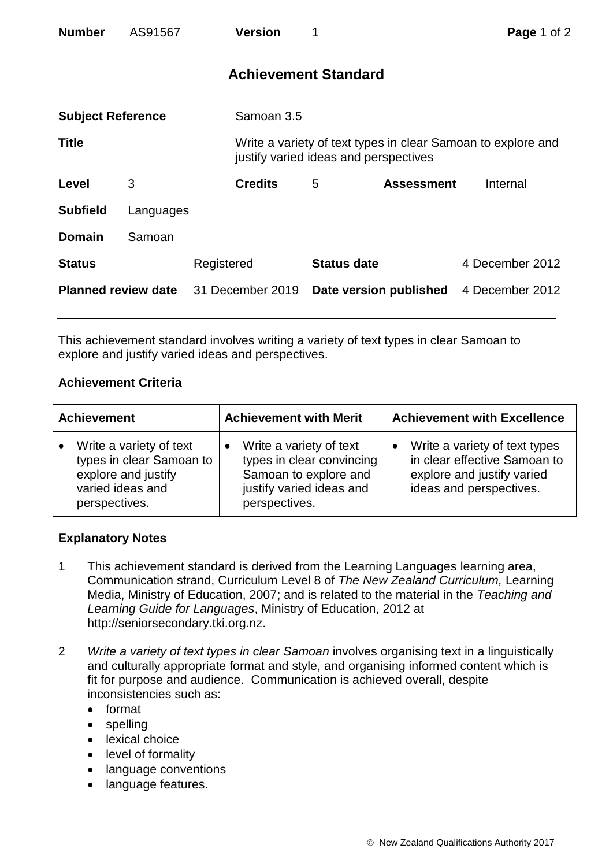| <b>Number</b>              | AS91567   |                  | <b>Version</b>              |                                       |                        | Page 1 of 2                                                  |  |
|----------------------------|-----------|------------------|-----------------------------|---------------------------------------|------------------------|--------------------------------------------------------------|--|
|                            |           |                  | <b>Achievement Standard</b> |                                       |                        |                                                              |  |
| <b>Subject Reference</b>   |           |                  | Samoan 3.5                  |                                       |                        |                                                              |  |
| <b>Title</b>               |           |                  |                             | justify varied ideas and perspectives |                        | Write a variety of text types in clear Samoan to explore and |  |
| Level                      | 3         |                  | <b>Credits</b>              | 5                                     | <b>Assessment</b>      | Internal                                                     |  |
| <b>Subfield</b>            | Languages |                  |                             |                                       |                        |                                                              |  |
| <b>Domain</b>              | Samoan    |                  |                             |                                       |                        |                                                              |  |
| <b>Status</b>              |           | Registered       |                             | <b>Status date</b>                    |                        | 4 December 2012                                              |  |
| <b>Planned review date</b> |           | 31 December 2019 |                             |                                       | Date version published | 4 December 2012                                              |  |

This achievement standard involves writing a variety of text types in clear Samoan to explore and justify varied ideas and perspectives.

## **Achievement Criteria**

| <b>Achievement</b>                                                                                                           | <b>Achievement with Merit</b>                                                                                              | <b>Achievement with Excellence</b>                                                                                     |  |
|------------------------------------------------------------------------------------------------------------------------------|----------------------------------------------------------------------------------------------------------------------------|------------------------------------------------------------------------------------------------------------------------|--|
| Write a variety of text<br>$\bullet$<br>types in clear Samoan to<br>explore and justify<br>varied ideas and<br>perspectives. | Write a variety of text<br>types in clear convincing<br>Samoan to explore and<br>justify varied ideas and<br>perspectives. | Write a variety of text types<br>in clear effective Samoan to<br>explore and justify varied<br>ideas and perspectives. |  |

## **Explanatory Notes**

- 1 This achievement standard is derived from the Learning Languages learning area, Communication strand, Curriculum Level 8 of *The New Zealand Curriculum,* Learning Media, Ministry of Education, 2007; and is related to the material in the *Teaching and Learning Guide for Languages*, Ministry of Education, 2012 at [http://seniorsecondary.tki.org.nz.](http://seniorsecondary.tki.org.nz/)
- 2 *Write a variety of text types in clear Samoan* involves organising text in a linguistically and culturally appropriate format and style, and organising informed content which is fit for purpose and audience. Communication is achieved overall, despite inconsistencies such as:
	- format
	- spelling
	- lexical choice
	- level of formality
	- language conventions
	- language features.